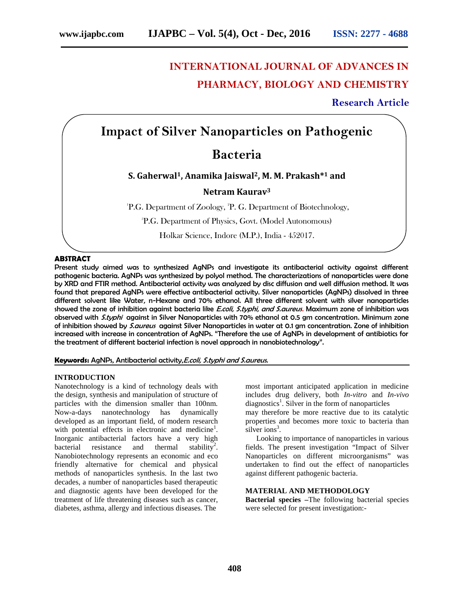# **INTERNATIONAL JOURNAL OF ADVANCES IN PHARMACY, BIOLOGY AND CHEMISTRY**

**Research Article**

## **Impact of Silver Nanoparticles on Pathogenic**

## **Bacteria**

## **S. Gaherwal1, Anamika Jaiswal2, M. M. Prakash\*<sup>1</sup> and**

## **Netram Kaurav<sup>3</sup>**

 ${}^{1}P.G.$  Department of Zoology,  ${}^{2}P.G.$  Department of Biotechnology,

<sup>3</sup>P.G. Department of Physics, Govt. (Model Autonomous)

Holkar Science, Indore (M.P.), India - 452017.

#### **ABSTRACT**

Present study aimed was to synthesized AgNPs and investigate its antibacterial activity against different pathogenic bacteria. AgNPs was synthesized by polyol method. The characterizations of nanoparticles were done by XRD and FTIR method. Antibacterial activity was analyzed by disc diffusion and well diffusion method. It was found that prepared AgNPs were effective antibacterial activity. Silver nanoparticles (AgNPs) dissolved in three different solvent like Water, n-Hexane and 70% ethanol. All three different solvent with silver nanoparticles showed the zone of inhibition against bacteria like *E.coli, S.typhi, and S.aureus.* Maximum zone of inhibition was observed with *S.typhi* against in Silver Nanoparticles with 70% ethanol at 0.5 gm concentration. Minimum zone of inhibition showed by *S.aureus*against Silver Nanoparticles in water at 0.1 gm concentration. Zone of inhibition increased with increase in concentration of AgNPs. "Therefore the use of AgNPs in development of antibiotics for the treatment of different bacterial infection is novel approach in nanobiotechnology".

### **Keywords:** AgNPs, Antibacterial activity,*E.coli, S.typhi and S.aureus.*

#### **INTRODUCTION**

Nanotechnology is a kind of technology deals with the design, synthesis and manipulation of structure of particles with the dimension smaller than 100nm. Now-a-days nanotechnology has dynamically developed as an important field, of modern research with potential effects in electronic and medicine<sup>1</sup>. Inorganic antibacterial factors have a very high bacterial resistance and thermal stability<sup>2</sup>. Nanobiotechnology represents an economic and eco friendly alternative for chemical and physical methods of nanoparticles synthesis. In the last two decades, a number of nanoparticles based therapeutic and diagnostic agents have been developed for the treatment of life threatening diseases such as cancer, diabetes, asthma, allergy and infectious diseases. The

most important anticipated application in medicine includes drug delivery, both *In-vitro* and *In-vivo* diagnostics<sup>1</sup>. Silver in the form of nanoparticles

may therefore be more reactive due to its catalytic properties and becomes more toxic to bacteria than silver ions<sup>3</sup>.

Looking to importance of nanoparticles in various fields. The present investigation "Impact of Silver Nanoparticles on different microorganisms" was undertaken to find out the effect of nanoparticles against different pathogenic bacteria.

### **MATERIAL AND METHODOLOGY**

**Bacterial species –**The following bacterial species were selected for present investigation:-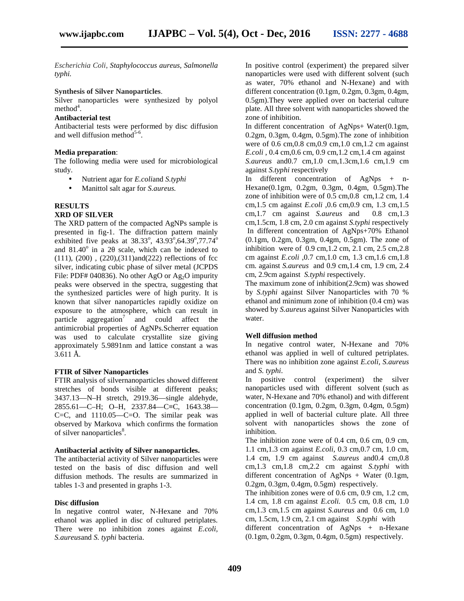*Escherichia Coli*, *Staphylococcus aureus, Salmonella typhi.*

### **Synthesis of Silver Nanoparticles**.

Silver nanoparticles were synthesized by polyol  $method<sup>4</sup>$ .

## **Antibacterial test**

Antibacterial tests were performed by disc diffusion and well diffusion method $5-6$ .

#### **Media preparation**:

The following media were used for microbiological study.

- Nutrient agar for *E.coli*and *S.typhi*
- Manittol salt agar for *S.aureus.*

### **RESULTS**

## **XRD OF SILVER**

The XRD pattern of the compacted AgNPs sample is presented in fig-1. The diffraction pattern mainly exhibited five peaks at  $38.33^{\circ}$ ,  $43.93^{\circ}$ ,  $64.39^{\circ}$ ,  $77.74^{\circ}$ and  $81.40^{\circ}$  in a 2 scale, which can be indexed to (111), (200) , (220),(311)and(222) reflections of fcc silver, indicating cubic phase of silver metal (JCPDS File: PDF# 040836). No other AgO or Ag<sub>2</sub>O impurity peaks were observed in the spectra, suggesting that the synthesized particles were of high purity. It is known that silver nanoparticles rapidly oxidize on exposure to the atmosphere, which can result in particle aggregation<sup>7</sup> and could affect the antimicrobial properties of AgNPs.Scherrer equation was used to calculate crystallite size giving approximately 5.9891nm and lattice constant a was  $3.611 \, \text{\AA}.$ 

#### **FTIR of Silver Nanoparticles**

FTIR analysis of silvernanoparticles showed different stretches of bonds visible at different peaks; 3437.13—N–H stretch, 2919.36—single aldehyde, 2855.61—C–H; O–H, 2337.84—C≡C, 1643.38— C=C, and 1110.05—C=O. The similar peak was observed by Markova which confirms the formation of silver nanoparticles<sup>8</sup>.

#### **Antibacterial activity of Silver nanoparticles.**

The antibacterial activity of Silver nanoparticles were tested on the basis of disc diffusion and well diffusion methods. The results are summarized in tables 1-3 and presented in graphs 1-3.

#### **Disc diffusion**

In negative control water, N-Hexane and 70% ethanol was applied in disc of cultured petriplates. There were no inhibition zones against *E.coli, S.aureus*and *S. typhi* bacteria.

In positive control (experiment) the prepared silver nanoparticles were used with different solvent (such as water, 70% ethanol and N-Hexane) and with different concentration (0.1gm, 0.2gm, 0.3gm, 0.4gm, 0.5gm).They were applied over on bacterial culture plate. All three solvent with nanoparticles showed the zone of inhibition.

In different concentration of AgNps+ Water(0.1gm, 0.2gm, 0.3gm, 0.4gm, 0.5gm).The zone of inhibition were of 0.6 cm, 0.8 cm, 0.9 cm, 1.0 cm, 1.2 cm against *E.coli* , 0.4 cm,0.6 cm, 0.9 cm,1.2 cm,1.4 cm against

*S.aureus* and0.7 cm,1.0 cm,1.3cm,1.6 cm,1.9 cm against *S.typhi* respectively

In different concentration of AgNps + n- Hexane(0.1gm, 0.2gm, 0.3gm, 0.4gm, 0.5gm).The zone of inhibition were of 0.5 cm,0.8 cm,1.2 cm, 1.4 cm,1.5 cm against *E.coli* ,0.6 cm,0.9 cm, 1.3 cm,1.5 cm,1.7 cm against *S.aureus* and 0.8 cm,1.3 cm,1.5cm, 1.8 cm, 2.0 cm against *S.typhi* respectively In different concentration of AgNps+70% Ethanol (0.1gm, 0.2gm, 0.3gm, 0.4gm, 0.5gm). The zone of inhibition were of 0.9 cm,1.2 cm, 2.1 cm, 2.5 cm,2.8 cm against *E.coli* ,0.7 cm,1.0 cm, 1.3 cm,1.6 cm,1.8 cm. against *S.aureus* and 0.9 cm,1.4 cm, 1.9 cm, 2.4 cm, 2.9cm against *S.typhi* respectively.

The maximum zone of inhibition(2.9cm) was showed by *S.typhi* against Silver Nanoparticles with 70 % ethanol and minimum zone of inhibition (0.4 cm) was showed by *S.aureus* against Silver Nanoparticles with water.

#### **Well diffusion method**

In negative control water, N-Hexane and 70% ethanol was applied in well of cultured petriplates. There was no inhibition zone against *E.coli, S.aureus* and *S. typhi*.

In positive control (experiment) the silver nanoparticles used with different solvent (such as water, N-Hexane and 70% ethanol) and with different concentration (0.1gm, 0.2gm, 0.3gm, 0.4gm, 0.5gm) applied in well of bacterial culture plate. All three solvent with nanoparticles shows the zone of inhibition.

The inhibition zone were of 0.4 cm, 0.6 cm, 0.9 cm, 1.1 cm,1.3 cm against *E.coli*, 0.3 cm,0.7 cm, 1.0 cm, 1.4 cm, 1.9 cm against *S.aureus* and0.4 cm,0.8 cm,1.3 cm,1.8 cm,2.2 cm against *S.typhi* with different concentration of AgNps + Water (0.1gm, 0.2gm, 0.3gm, 0.4gm, 0.5gm) respectively.

The inhibition zones were of 0.6 cm, 0.9 cm, 1.2 cm, 1.4 cm, 1.8 cm against *E.coli.* 0.5 cm, 0.8 cm, 1.0 cm,1.3 cm,1.5 cm against *S.aureus* and 0.6 cm, 1.0 cm, 1.5cm, 1.9 cm, 2.1 cm against *S.typhi* with different concentration of AgNps + n-Hexane (0.1gm, 0.2gm, 0.3gm, 0.4gm, 0.5gm) respectively.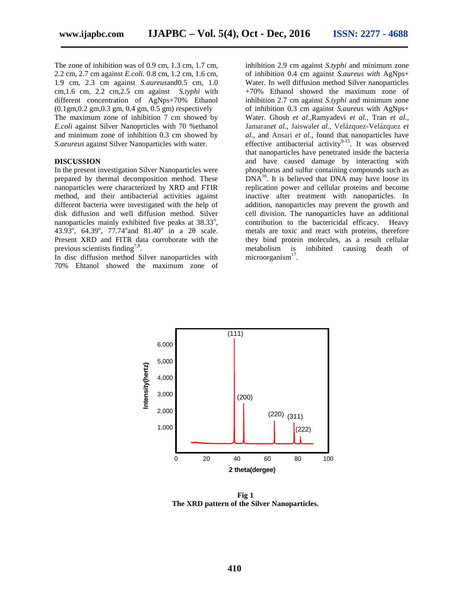The zone of inhibition was of 0.9 cm, 1.3 cm, 1.7 cm, 2.2 cm, 2.7 cm against *E.coli.* 0.8 cm, 1.2 cm, 1.6 cm, 1.9 cm, 2.3 cm against *S.aureus*and0.5 cm, 1.0 cm,1.6 cm, 2.2 cm,2.5 cm against *S.typhi* with different concentration of AgNps+70% Ethanol (0.1gm,0.2 gm,0.3 gm, 0.4 gm, 0.5 gm) respectively The maximum zone of inhibition 7 cm showed by *E.coli* against Silver Nanoprticles with 70 %ethanol and minimum zone of inhibition 0.3 cm showed by *S.aeureus* against Silver Nanoparticles with water.

### **DISCUSSION**

In the present investigation Silver Nanoparticles were prepared by thermal decomposition method. These nanoparticles were characterized by XRD and FTIR method, and their antibacterial activities against different bacteria were investigated with the help of disk diffusion and well diffusion method. Silver nanoparticles mainly exhibited five peaks at 38.33°, 43.93 $^{\circ}$ , 64.39 $^{\circ}$ , 77.74 $^{\circ}$  and 81.40 $^{\circ}$  in a 2 scale. Present XRD and FITR data corroborate with the previous scientists finding<sup>7,8</sup>.

In disc diffusion method Silver nanoparticles with 70% Ehtanol showed the maximum zone of

inhibition 2.9 cm against *S.typhi* and minimum zone of inhibition 0.4 cm against *S.aureus with* AgNps+ Water. In well diffusion method Silver nanoparticles +70% Ethanol showed the maximum zone of inhibition 2.7 cm against *S.typhi* and minimum zone of inhibition 0.3 cm against *S.aureus* with AgNps+ Water*.* Ghosh *et al.,*Ramyadevi *et al.,* Tran *et al.,* Jamaran*et al.,* Jaiswal*et al.,* Velázquez-Velázquez *et al.,* and Ansari *et al*., found that nanoparticles have effective antibacterial activity $9-15$ . It was observed that nanoparticles have penetrated inside the bacteria and have caused damage by interacting with phosphorus and sulfur containing compounds such as  $DNA<sup>16</sup>$ . It is believed that DNA may have loose its replication power and cellular proteins and become inactive after treatment with nanoparticles. In addition, nanoparticles may prevent the growth and cell division. The nanoparticles have an additional contribution to the bactericidal efficacy. Heavy metals are toxic and react with proteins, therefore they bind protein molecules, as a result cellular metabolism is inhibited causing death of microorganism<sup>17</sup>.



**Fig 1 The XRD pattern of the Silver Nanoparticles.**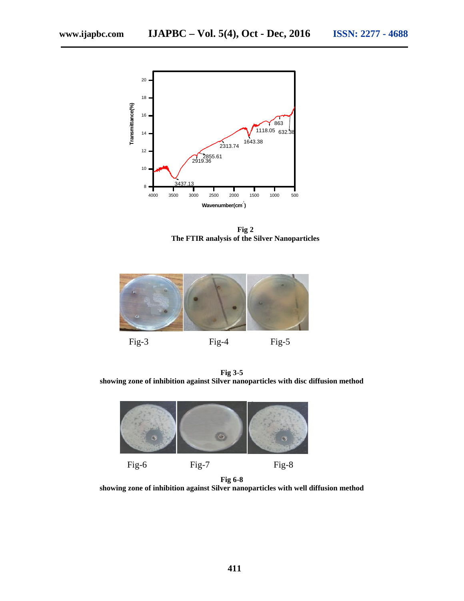

**Fig 2 The FTIR analysis of the Silver Nanoparticles**



**Fig 3-5 showing zone of inhibition against Silver nanoparticles with disc diffusion method**



**Fig 6-8 showing zone of inhibition against Silver nanoparticles with well diffusion method**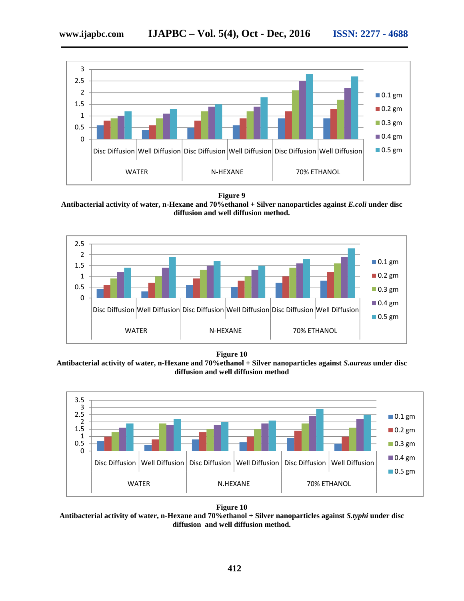

**Figure 9**

**Antibacterial activity of water, n-Hexane and 70%ethanol + Silver nanoparticles against** *E.coli* **under disc diffusion and well diffusion method.**



**Figure 10**

**Antibacterial activity of water, n-Hexane and 70%ethanol + Silver nanoparticles against** *S.aureus* **under disc diffusion and well diffusion method**



**Figure 10 Antibacterial activity of water, n-Hexane and 70%ethanol + Silver nanoparticles against** *S.typhi* **under disc diffusion and well diffusion method.**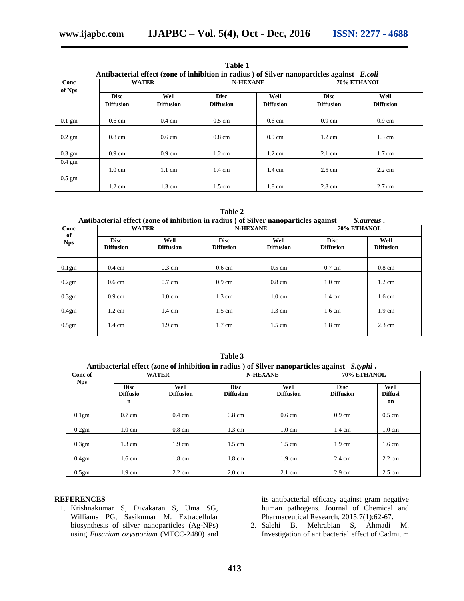| Antibacterial effect (zone of inhibition in radius ) of Silver nanoparticles against E.coli |                                 |                          |                                 |                          |                                 |                          |  |
|---------------------------------------------------------------------------------------------|---------------------------------|--------------------------|---------------------------------|--------------------------|---------------------------------|--------------------------|--|
| Conc<br>of Nps                                                                              | <b>WATER</b>                    |                          | <b>N-HEXANE</b>                 |                          | 70% ETHANOL                     |                          |  |
|                                                                                             | <b>Disc</b><br><b>Diffusion</b> | Well<br><b>Diffusion</b> | <b>Disc</b><br><b>Diffusion</b> | Well<br><b>Diffusion</b> | <b>Disc</b><br><b>Diffusion</b> | Well<br><b>Diffusion</b> |  |
| $0.1$ gm                                                                                    | $0.6 \text{ cm}$                | $0.4 \text{ cm}$         | $0.5 \text{ cm}$                | $0.6 \text{ cm}$         | $0.9 \text{ cm}$                | $0.9 \text{ cm}$         |  |
| $0.2$ gm                                                                                    | $0.8 \text{ cm}$                | $0.6 \text{ cm}$         | $0.8 \text{ cm}$                | $0.9 \text{ cm}$         | $1.2 \text{ cm}$                | $1.3 \text{ cm}$         |  |
| $0.3 \text{ gm}$                                                                            | $0.9 \text{ cm}$                | $0.9 \text{ cm}$         | $1.2 \text{ cm}$                | $1.2 \text{ cm}$         | $2.1 \text{ cm}$                | $1.7 \text{ cm}$         |  |
| $0.4 \text{ gm}$                                                                            |                                 |                          |                                 |                          |                                 |                          |  |
|                                                                                             | $1.0 \text{ cm}$                | $1.1 \text{ cm}$         | $1.4 \text{ cm}$                | $1.4 \text{ cm}$         | $2.5 \text{ cm}$                | $2.2 \text{ cm}$         |  |
| $0.5 \text{ gm}$                                                                            |                                 |                          |                                 |                          |                                 |                          |  |
|                                                                                             | $1.2 \text{ cm}$                | $1.3 \text{ cm}$         | $1.5 \text{ cm}$                | $1.8 \text{ cm}$         | $2.8 \text{ cm}$                | $2.7 \text{ cm}$         |  |

**Table 1**

**Table 2**

| Conc<br>of<br><b>Nps</b> | <b>WATER</b>                    |                          | Antibacterial effect (zone of inhibition in radius) of Silver nanoparticles against<br><b>N-HEXANE</b> |                          | S.aureus.<br>70% ETHANOL        |                          |
|--------------------------|---------------------------------|--------------------------|--------------------------------------------------------------------------------------------------------|--------------------------|---------------------------------|--------------------------|
|                          | <b>Disc</b><br><b>Diffusion</b> | Well<br><b>Diffusion</b> | <b>Disc</b><br><b>Diffusion</b>                                                                        | Well<br><b>Diffusion</b> | <b>Disc</b><br><b>Diffusion</b> | Well<br><b>Diffusion</b> |
| 0.1 <sub>gm</sub>        | $0.4 \text{ cm}$                | $0.3 \text{ cm}$         | $0.6 \text{ cm}$                                                                                       | $0.5 \text{ cm}$         | $0.7 \text{ cm}$                | $0.8 \text{ cm}$         |
| 0.2gm                    | $0.6 \text{ cm}$                | $0.7 \text{ cm}$         | $0.9 \text{ cm}$                                                                                       | $0.8 \text{ cm}$         | $1.0 \text{ cm}$                | $1.2 \text{ cm}$         |
| 0.3gm                    | $0.9 \text{ cm}$                | $1.0 \text{ cm}$         | $1.3 \text{ cm}$                                                                                       | $1.0 \text{ cm}$         | $1.4 \text{ cm}$                | $1.6 \text{ cm}$         |
| 0.4 <sub>gm</sub>        | $1.2 \text{ cm}$                | 1.4 cm                   | $1.5 \text{ cm}$                                                                                       | $1.3 \text{ cm}$         | $1.6 \text{ cm}$                | $1.9 \text{ cm}$         |
| 0.5 <sub>gm</sub>        | $1.4 \text{ cm}$                | $1.9 \text{ cm}$         | $1.7 \text{ cm}$                                                                                       | $1.5 \text{ cm}$         | $1.8 \text{ cm}$                | $2.3 \text{ cm}$         |

#### **Table 3**

**Antibacterial effect (zone of inhibition in radius ) of Silver nanoparticles against** *S.typhi* **.**

| Conc of<br><b>Nps</b> | <b>WATER</b>                   |                          | <b>N-HEXANE</b>                 |                          | ~<br>70% ETHANOL                |                        |
|-----------------------|--------------------------------|--------------------------|---------------------------------|--------------------------|---------------------------------|------------------------|
|                       | <b>Disc</b><br><b>Diffusio</b> | Well<br><b>Diffusion</b> | <b>Disc</b><br><b>Diffusion</b> | Well<br><b>Diffusion</b> | <b>Disc</b><br><b>Diffusion</b> | Well<br><b>Diffusi</b> |
|                       | n                              |                          |                                 |                          |                                 | on                     |
| 0.1 <sub>gm</sub>     | $0.7 \text{ cm}$               | $0.4 \text{ cm}$         | $0.8 \text{ cm}$                | $0.6 \text{ cm}$         | $0.9 \text{ cm}$                | $0.5 \text{ cm}$       |
| 0.2gm                 | $1.0 \text{ cm}$               | $0.8 \text{ cm}$         | $1.3 \text{ cm}$                | $1.0 \text{ cm}$         | 1.4 cm                          | $1.0 \text{ cm}$       |
| 0.3gm                 | $1.3 \text{ cm}$               | $1.9 \text{ cm}$         | $1.5 \text{ cm}$                | $1.5 \text{ cm}$         | $1.9 \text{ cm}$                | $1.6 \text{ cm}$       |
| 0.4gm                 | $1.6 \text{ cm}$               | $1.8 \text{ cm}$         | $1.8 \text{ cm}$                | $1.9 \text{ cm}$         | 2.4 cm                          | $2.2 \text{ cm}$       |
| 0.5 <sub>gm</sub>     | $1.9 \text{ cm}$               | $2.2 \text{ cm}$         | $2.0 \text{ cm}$                | $2.1 \text{ cm}$         | $2.9 \text{ cm}$                | $2.5 \text{ cm}$       |

### **REFERENCES**

1. Krishnakumar S, Divakaran S, Uma SG, Williams PG, Sasikumar M. Extracellular biosynthesis of silver nanoparticles (Ag-NPs) using *Fusarium oxysporium* (MTCC-2480) and its antibacterial efficacy against gram negative human pathogens. Journal of Chemical and Pharmaceutical Research, 2015;7(1):62-67**.**

2. Salehi B, Mehrabian S, Ahmadi M. Investigation of antibacterial effect of Cadmium